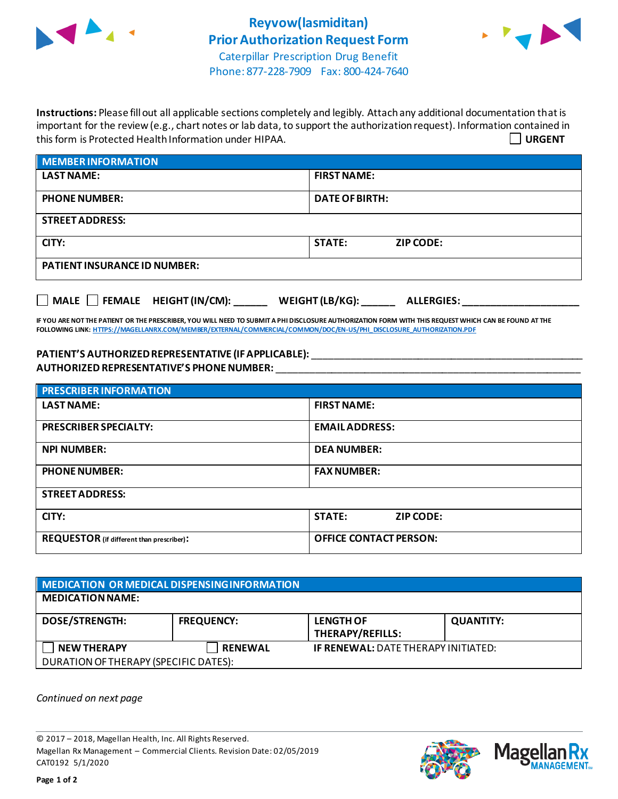



Phone: 877-228-7909 Fax: 800-424-7640

**Instructions:** Please fill out all applicable sections completely and legibly. Attach any additional documentation that is important for the review (e.g., chart notes or lab data, to support the authorization request). Information contained in this form is Protected Health Information under HIPAA. **URGENT**

| <b>MEMBER INFORMATION</b>           |                                   |  |  |
|-------------------------------------|-----------------------------------|--|--|
| <b>LAST NAME:</b>                   | <b>FIRST NAME:</b>                |  |  |
| <b>PHONE NUMBER:</b>                | <b>DATE OF BIRTH:</b>             |  |  |
| <b>STREET ADDRESS:</b>              |                                   |  |  |
| CITY:                               | <b>STATE:</b><br><b>ZIP CODE:</b> |  |  |
| <b>PATIENT INSURANCE ID NUMBER:</b> |                                   |  |  |
|                                     |                                   |  |  |

**IF YOU ARE NOT THE PATIENT OR THE PRESCRIBER, YOU WILL NEED TO SUBMIT A PHI DISCLOSURE AUTHORIZATION FORM WITH THIS REQUEST WHICH CAN BE FOUND AT THE FOLLOWING LINK[: HTTPS://MAGELLANRX.COM/MEMBER/EXTERNAL/COMMERCIAL/COMMON/DOC/EN-US/PHI\\_DISCLOSURE\\_AUTHORIZATION.PDF](https://magellanrx.com/member/external/commercial/common/doc/en-us/PHI_Disclosure_Authorization.pdf)**

**MALE FEMALE HEIGHT (IN/CM): \_\_\_\_\_\_ WEIGHT (LB/KG): \_\_\_\_\_\_ ALLERGIES: \_\_\_\_\_\_\_\_\_\_\_\_\_\_\_\_\_\_\_\_\_**

**PATIENT'S AUTHORIZEDREPRESENTATIVE (IF APPLICABLE):** \_\_\_\_\_\_\_\_\_\_\_\_\_\_\_\_\_\_\_\_\_\_\_\_\_\_\_\_\_\_\_\_\_\_\_\_\_\_\_\_\_\_\_\_\_\_\_\_\_ **AUTHORIZED REPRESENTATIVE'S PHONE NUMBER:** \_\_\_\_\_\_\_\_\_\_\_\_\_\_\_\_\_\_\_\_\_\_\_\_\_\_\_\_\_\_\_\_\_\_\_\_\_\_\_\_\_\_\_\_\_\_\_\_\_\_\_\_\_\_\_

| <b>PRESCRIBER INFORMATION</b>             |                                   |  |  |  |
|-------------------------------------------|-----------------------------------|--|--|--|
| <b>LAST NAME:</b>                         | <b>FIRST NAME:</b>                |  |  |  |
| <b>PRESCRIBER SPECIALTY:</b>              | <b>EMAIL ADDRESS:</b>             |  |  |  |
| <b>NPI NUMBER:</b>                        | <b>DEA NUMBER:</b>                |  |  |  |
| <b>PHONE NUMBER:</b>                      | <b>FAX NUMBER:</b>                |  |  |  |
| <b>STREET ADDRESS:</b>                    |                                   |  |  |  |
| CITY:                                     | <b>STATE:</b><br><b>ZIP CODE:</b> |  |  |  |
| REQUESTOR (if different than prescriber): | <b>OFFICE CONTACT PERSON:</b>     |  |  |  |

| MEDICATION OR MEDICAL DISPENSING INFORMATION |                   |                                            |                  |  |  |
|----------------------------------------------|-------------------|--------------------------------------------|------------------|--|--|
| <b>MEDICATION NAME:</b>                      |                   |                                            |                  |  |  |
| <b>DOSE/STRENGTH:</b>                        | <b>FREQUENCY:</b> | <b>LENGTH OF</b><br>THERAPY/REFILLS:       | <b>QUANTITY:</b> |  |  |
| <b>NEW THERAPY</b>                           | <b>RENEWAL</b>    | <b>IF RENEWAL: DATE THERAPY INITIATED:</b> |                  |  |  |
| DURATION OF THERAPY (SPECIFIC DATES):        |                   |                                            |                  |  |  |

*Continued on next page*

© 2017 – 2018, Magellan Health, Inc. All Rights Reserved. Magellan Rx Management – Commercial Clients. Revision Date: 02/05/2019 CAT0192 5/1/2020